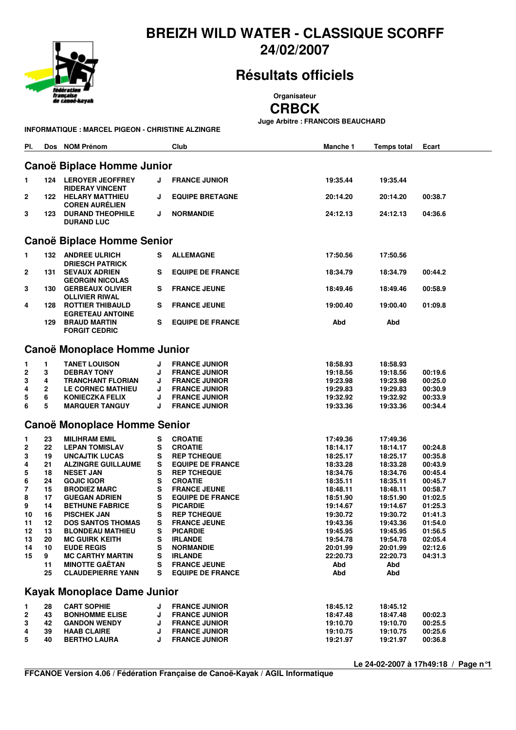

### **BREIZH WILD WATER - CLASSIQUE SCORFF 24/02/2007**

# **Résultats officiels**

**Organisateur**

**CRBCK**

**Juge Arbitre : FRANCOIS BEAUCHARD**

| INFORMATIQUE : MARCEL PIGEON - CHRISTINE ALZINGRE |  |  |
|---------------------------------------------------|--|--|
|                                                   |  |  |

| PI.                                | Dos         | <b>NOM Prénom</b>                                   |        | Club                                           | Manche 1             | <b>Temps total</b>   | Ecart              |  |  |  |
|------------------------------------|-------------|-----------------------------------------------------|--------|------------------------------------------------|----------------------|----------------------|--------------------|--|--|--|
| Canoë Biplace Homme Junior         |             |                                                     |        |                                                |                      |                      |                    |  |  |  |
| 1                                  | 124         | <b>LEROYER JEOFFREY</b><br><b>RIDERAY VINCENT</b>   | J      | <b>FRANCE JUNIOR</b>                           | 19:35.44             | 19:35.44             |                    |  |  |  |
| 2                                  |             | <b>122 HELARY MATTHIEU</b><br><b>COREN AURÉLIEN</b> | J      | <b>EQUIPE BRETAGNE</b>                         | 20:14.20             | 20:14.20             | 00:38.7            |  |  |  |
| 3                                  | 123         | <b>DURAND THEOPHILE</b><br><b>DURAND LUC</b>        | J      | <b>NORMANDIE</b>                               | 24:12.13             | 24:12.13             | 04:36.6            |  |  |  |
| Canoë Biplace Homme Senior         |             |                                                     |        |                                                |                      |                      |                    |  |  |  |
| 1                                  |             | <b>132 ANDREE ULRICH</b><br><b>DRIESCH PATRICK</b>  | s      | <b>ALLEMAGNE</b>                               | 17:50.56             | 17:50.56             |                    |  |  |  |
| 2                                  | 131         | <b>SEVAUX ADRIEN</b><br><b>GEORGIN NICOLAS</b>      | s      | <b>EQUIPE DE FRANCE</b>                        | 18:34.79             | 18:34.79             | 00:44.2            |  |  |  |
| 3                                  | 130         | <b>GERBEAUX OLIVIER</b><br><b>OLLIVIER RIWAL</b>    | s      | <b>FRANCE JEUNE</b>                            | 18:49.46             | 18:49.46             | 00:58.9            |  |  |  |
| 4                                  | 128         | <b>ROTTIER THIBAULD</b><br><b>EGRETEAU ANTOINE</b>  | s      | <b>FRANCE JEUNE</b>                            | 19:00.40             | 19:00.40             | 01:09.8            |  |  |  |
|                                    | 129         | <b>BRAUD MARTIN</b><br><b>FORGIT CEDRIC</b>         | s      | <b>EQUIPE DE FRANCE</b>                        | Abd                  | Abd                  |                    |  |  |  |
| Canoë Monoplace Homme Junior       |             |                                                     |        |                                                |                      |                      |                    |  |  |  |
| 1                                  | 1           | <b>TANET LOUISON</b>                                | J      | <b>FRANCE JUNIOR</b>                           | 18:58.93             | 18:58.93             |                    |  |  |  |
| 2                                  | 3           | <b>DEBRAY TONY</b>                                  | J      | <b>FRANCE JUNIOR</b>                           | 19:18.56             | 19:18.56             | 00:19.6            |  |  |  |
| 3                                  | 4           | <b>TRANCHANT FLORIAN</b>                            | J      | <b>FRANCE JUNIOR</b>                           | 19:23.98             | 19:23.98             | 00:25.0            |  |  |  |
| 4                                  | $\mathbf 2$ | <b>LE CORNEC MATHIEU</b>                            | J      | <b>FRANCE JUNIOR</b>                           | 19:29.83             | 19:29.83             | 00:30.9            |  |  |  |
| 5                                  | 6           | <b>KONIECZKA FELIX</b>                              | J      | <b>FRANCE JUNIOR</b>                           | 19:32.92             | 19:32.92             | 00:33.9            |  |  |  |
| 6                                  | 5           | <b>MARQUER TANGUY</b>                               | J      | <b>FRANCE JUNIOR</b>                           | 19:33.36             | 19:33.36             | 00:34.4            |  |  |  |
|                                    |             | <b>Canoë Monoplace Homme Senior</b>                 |        |                                                |                      |                      |                    |  |  |  |
| 1                                  | 23          | <b>MILIHRAM EMIL</b>                                | s      | <b>CROATIE</b>                                 | 17:49.36             | 17:49.36             |                    |  |  |  |
| 2                                  | 22          | <b>LEPAN TOMISLAV</b>                               | s      | <b>CROATIE</b>                                 | 18:14.17             |                      | 00:24.8            |  |  |  |
|                                    | 19          |                                                     | s      |                                                |                      | 18:14.17             |                    |  |  |  |
| 3                                  |             | <b>UNCAJTIK LUCAS</b>                               |        | <b>REP TCHEQUE</b>                             | 18:25.17             | 18:25.17             | 00:35.8            |  |  |  |
| 4                                  | 21          | <b>ALZINGRE GUILLAUME</b>                           | s      | <b>EQUIPE DE FRANCE</b>                        | 18:33.28             | 18:33.28             | 00:43.9            |  |  |  |
| 5                                  | 18<br>24    | <b>NESET JAN</b>                                    | s      | <b>REP TCHEQUE</b>                             | 18:34.76<br>18:35.11 | 18:34.76             | 00:45.4            |  |  |  |
| 6<br>7                             | 15          | <b>GOJIC IGOR</b>                                   | s<br>s | <b>CROATIE</b>                                 |                      | 18:35.11             | 00:45.7<br>00:58.7 |  |  |  |
| 8                                  | 17          | <b>BRODIEZ MARC</b>                                 | s      | <b>FRANCE JEUNE</b>                            | 18:48.11             | 18:48.11             | 01:02.5            |  |  |  |
|                                    | 14          | <b>GUEGAN ADRIEN</b>                                | s      | <b>EQUIPE DE FRANCE</b><br><b>PICARDIE</b>     | 18:51.90             | 18:51.90             | 01:25.3            |  |  |  |
| 9                                  | 16          | <b>BETHUNE FABRICE</b>                              | s      | <b>REP TCHEQUE</b>                             | 19:14.67             | 19:14.67             |                    |  |  |  |
| 10<br>11                           | 12          | <b>PISCHEK JAN</b>                                  | s      | <b>FRANCE JEUNE</b>                            | 19:30.72             | 19:30.72             | 01:41.3            |  |  |  |
|                                    |             | <b>DOS SANTOS THOMAS</b>                            |        |                                                | 19:43.36             | 19:43.36             | 01:54.0            |  |  |  |
| 12                                 | 13          | <b>BLONDEAU MATHIEU</b><br><b>MC GUIRK KEITH</b>    | s<br>s | <b>PICARDIE</b>                                | 19:45.95<br>19:54.78 | 19:45.95             | 01:56.5            |  |  |  |
| 13<br>14                           | 20<br>10    | <b>EUDE REGIS</b>                                   | s      | <b>IRLANDE</b><br><b>NORMANDIE</b>             |                      | 19:54.78<br>20:01.99 | 02:05.4<br>02:12.6 |  |  |  |
|                                    | 9           |                                                     |        |                                                | 20:01.99<br>22:20.73 |                      |                    |  |  |  |
| 15                                 |             | <b>MC CARTHY MARTIN</b>                             | s      | <b>IRLANDE</b>                                 |                      | 22:20.73             | 04:31.3            |  |  |  |
|                                    | 11<br>25    | <b>MINOTTE GAËTAN</b><br><b>CLAUDEPIERRE YANN</b>   | s<br>s | <b>FRANCE JEUNE</b><br><b>EQUIPE DE FRANCE</b> | Abd<br>Abd           | Abd<br>Abd           |                    |  |  |  |
| <b>Kayak Monoplace Dame Junior</b> |             |                                                     |        |                                                |                      |                      |                    |  |  |  |
|                                    |             |                                                     |        |                                                |                      |                      |                    |  |  |  |
| 1                                  | 28          | <b>CART SOPHIE</b>                                  | J      | <b>FRANCE JUNIOR</b>                           | 18:45.12             | 18:45.12             |                    |  |  |  |
| 2                                  | 43          | <b>BONHOMME ELISE</b>                               | J      | <b>FRANCE JUNIOR</b>                           | 18:47.48             | 18:47.48             | 00:02.3            |  |  |  |
| 3                                  | 42          | <b>GANDON WENDY</b>                                 | J      | <b>FRANCE JUNIOR</b>                           | 19:10.70             | 19:10.70             | 00:25.5            |  |  |  |
| 4                                  | 39          | <b>HAAB CLAIRE</b>                                  | J      | <b>FRANCE JUNIOR</b>                           | 19:10.75             | 19:10.75             | 00:25.6            |  |  |  |
| 5                                  | 40          | <b>BERTHO LAURA</b>                                 | J      | <b>FRANCE JUNIOR</b>                           | 19:21.97             | 19:21.97             | 00:36.8            |  |  |  |

**Le 24-02-2007 à 17h49:18 / Page n°1**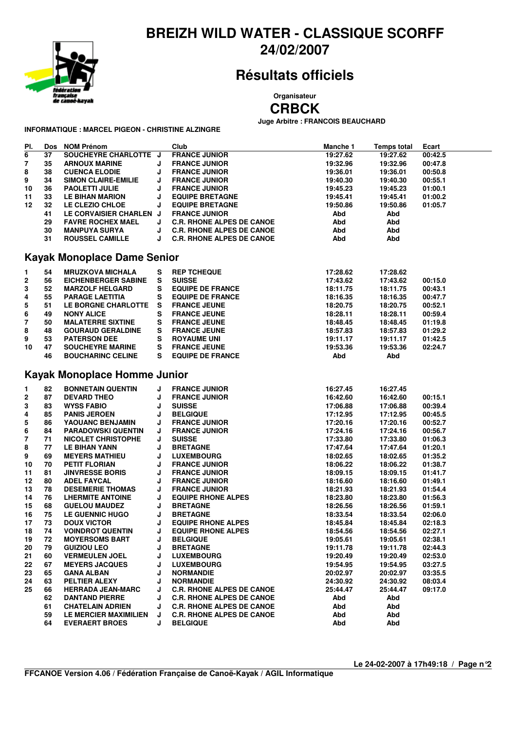

### **BREIZH WILD WATER - CLASSIQUE SCORFF 24/02/2007**

## **Résultats officiels**

**Organisateur**

**CRBCK**

**Juge Arbitre : FRANCOIS BEAUCHARD**

**INFORMATIQUE : MARCEL PIGEON - CHRISTINE ALZINGRE**

| PI.                     |          | Dos NOM Prénom                           |        | Club                             | Manche 1 | <b>Temps total</b> | Ecart   |
|-------------------------|----------|------------------------------------------|--------|----------------------------------|----------|--------------------|---------|
| 6                       | 37       | SOUCHEYRE CHARLOTTE J                    |        | <b>FRANCE JUNIOR</b>             | 19:27.62 | 19:27.62           | 00:42.5 |
| 7                       | 35       | <b>ARNOUX MARINE</b>                     | J      | <b>FRANCE JUNIOR</b>             | 19:32.96 | 19:32.96           | 00:47.8 |
| 8                       | 38       | <b>CUENCA ELODIE</b>                     | J      | <b>FRANCE JUNIOR</b>             | 19:36.01 | 19:36.01           | 00:50.8 |
| 9                       | 34       | <b>SIMON CLAIRE-EMILIE</b>               | J      | <b>FRANCE JUNIOR</b>             | 19:40.30 | 19:40.30           | 00:55.1 |
| 10                      | 36       | <b>PAOLETTI JULIE</b>                    | J      | <b>FRANCE JUNIOR</b>             | 19:45.23 | 19:45.23           | 01:00.1 |
| 11                      | 33       | <b>LE BIHAN MARION</b>                   | J      | <b>EQUIPE BRETAGNE</b>           | 19:45.41 | 19:45.41           | 01:00.2 |
| 12                      | 32       | LE CLEZIO CHLOE                          | J      | <b>EQUIPE BRETAGNE</b>           | 19:50.86 | 19:50.86           | 01:05.7 |
|                         | 41       | LE CORVAISIER CHARLEN J                  |        | <b>FRANCE JUNIOR</b>             | Abd      | Abd                |         |
|                         | 29       | <b>FAVRE ROCHEX MAEL</b>                 | J      | <b>C.R. RHONE ALPES DE CANOE</b> | Abd      | Abd                |         |
|                         | 30       | <b>MANPUYA SURYA</b>                     | J      | <b>C.R. RHONE ALPES DE CANOE</b> | Abd      | Abd                |         |
|                         | 31       | <b>ROUSSEL CAMILLE</b>                   | J      | <b>C.R. RHONE ALPES DE CANOE</b> | Abd      | Abd                |         |
|                         |          | <b>Kayak Monoplace Dame Senior</b>       |        |                                  |          |                    |         |
|                         |          |                                          |        |                                  |          |                    |         |
| 1                       | 54       | <b>MRUZKOVA MICHALA</b>                  | s<br>S | <b>REP TCHEQUE</b>               | 17:28.62 | 17:28.62           |         |
| $\mathbf 2$             | 56       | <b>EICHENBERGER SABINE</b>               | s      | <b>SUISSE</b>                    | 17:43.62 | 17:43.62           | 00:15.0 |
| 3                       | 52       | <b>MARZOLF HELGARD</b>                   |        | <b>EQUIPE DE FRANCE</b>          | 18:11.75 | 18:11.75           | 00:43.1 |
| 4                       | 55       | <b>PARAGE LAETITIA</b>                   | s      | <b>EQUIPE DE FRANCE</b>          | 18:16.35 | 18:16.35           | 00:47.7 |
| 5                       | 51<br>49 | LE BORGNE CHARLOTTE<br><b>NONY ALICE</b> | s<br>s | <b>FRANCE JEUNE</b>              | 18:20.75 | 18:20.75           | 00:52.1 |
| 6                       |          |                                          |        | <b>FRANCE JEUNE</b>              | 18:28.11 | 18:28.11           | 00:59.4 |
| 7                       | 50       | <b>MALATERRE SIXTINE</b>                 | s      | <b>FRANCE JEUNE</b>              | 18:48.45 | 18:48.45           | 01:19.8 |
| 8                       | 48       | <b>GOURAUD GERALDINE</b>                 | s      | <b>FRANCE JEUNE</b>              | 18:57.83 | 18:57.83           | 01:29.2 |
| 9                       | 53       | <b>PATERSON DEE</b>                      | s      | <b>ROYAUME UNI</b>               | 19:11.17 | 19:11.17           | 01:42.5 |
| 10                      | 47       | <b>SOUCHEYRE MARINE</b>                  | s      | <b>FRANCE JEUNE</b>              | 19:53.36 | 19:53.36           | 02:24.7 |
|                         | 46       | <b>BOUCHARINC CELINE</b>                 | s      | <b>EQUIPE DE FRANCE</b>          | Abd      | Abd                |         |
|                         |          | Kayak Monoplace Homme Junior             |        |                                  |          |                    |         |
| 1                       | 82       | <b>BONNETAIN QUENTIN</b>                 | J      | <b>FRANCE JUNIOR</b>             | 16:27.45 | 16:27.45           |         |
| $\overline{\mathbf{2}}$ | 87       | <b>DEVARD THEO</b>                       | J      | <b>FRANCE JUNIOR</b>             | 16:42.60 | 16:42.60           | 00:15.1 |
| 3                       | 83       | <b>WYSS FABIO</b>                        | J      | <b>SUISSE</b>                    | 17:06.88 | 17:06.88           | 00:39.4 |
| 4                       | 85       | <b>PANIS JEROEN</b>                      | J      | <b>BELGIQUE</b>                  | 17:12.95 | 17:12.95           | 00:45.5 |
| 5                       | 86       | YAOUANC BENJAMIN                         | J      | <b>FRANCE JUNIOR</b>             | 17:20.16 | 17:20.16           | 00:52.7 |
| 6                       | 84       | <b>PARADOWSKI QUENTIN</b>                | J      | <b>FRANCE JUNIOR</b>             | 17:24.16 | 17:24.16           | 00:56.7 |
| 7                       | 71       | <b>NICOLET CHRISTOPHE</b>                | J      | <b>SUISSE</b>                    | 17:33.80 | 17:33.80           | 01:06.3 |
| 8                       | 77       | <b>LE BIHAN YANN</b>                     | J      | <b>BRETAGNE</b>                  | 17:47.64 | 17:47.64           | 01:20.1 |
| 9                       | 69       | <b>MEYERS MATHIEU</b>                    | J      | <b>LUXEMBOURG</b>                | 18:02.65 | 18:02.65           | 01:35.2 |
| 10                      | 70       | <b>PETIT FLORIAN</b>                     | J      | <b>FRANCE JUNIOR</b>             | 18:06.22 | 18:06.22           | 01:38.7 |
| 11                      | 81       | <b>JINVRESSE BORIS</b>                   | J      | <b>FRANCE JUNIOR</b>             | 18:09.15 | 18:09.15           | 01:41.7 |
| 12                      | 80       | <b>ADEL FAYCAL</b>                       | J      | <b>FRANCE JUNIOR</b>             | 18:16.60 | 18:16.60           | 01:49.1 |
| 13                      | 78       | <b>DESEMERIE THOMAS</b>                  | J      | <b>FRANCE JUNIOR</b>             | 18:21.93 | 18:21.93           | 01:54.4 |
| 14                      | 76       | <b>LHERMITE ANTOINE</b>                  | J      | <b>EQUIPE RHONE ALPES</b>        | 18:23.80 | 18:23.80           | 01:56.3 |
| 15                      | 68       | <b>GUELOU MAUDEZ</b>                     | J      | <b>BRETAGNE</b>                  | 18:26.56 | 18:26.56           | 01:59.1 |
| 16                      | 75       | <b>LE GUENNIC HUGO</b>                   | J      | <b>BRETAGNE</b>                  | 18:33.54 | 18:33.54           | 02:06.0 |
| 17                      | 73       | <b>DOUX VICTOR</b>                       | J      | <b>EQUIPE RHONE ALPES</b>        | 18:45.84 | 18:45.84           | 02:18.3 |
| 18                      | 74       | <b>VOINDROT QUENTIN</b>                  |        | <b>EQUIPE RHONE ALPES</b>        | 18:54.56 | 18:54.56           | 02:27.1 |
| 19                      | 72       | <b>MOYERSOMS BART</b>                    | J      | <b>BELGIQUE</b>                  | 19:05.61 | 19:05.61           | 02:38.1 |
| 20                      | 79       | <b>GUIZIOU LEO</b>                       | J      | <b>BRETAGNE</b>                  | 19:11.78 | 19:11.78           | 02:44.3 |
| 21                      | 60       | <b>VERMEULEN JOEL</b>                    | J      | <b>LUXEMBOURG</b>                | 19:20.49 | 19:20.49           | 02:53.0 |
| 22                      | 67       | <b>MEYERS JACQUES</b>                    | J      | <b>LUXEMBOURG</b>                | 19:54.95 | 19:54.95           | 03:27.5 |
| 23                      | 65       | <b>GANA ALBAN</b>                        | J      | <b>NORMANDIE</b>                 | 20:02.97 | 20:02.97           | 03:35.5 |
| 24                      | 63       | PELTIER ALEXY                            | J      | <b>NORMANDIE</b>                 | 24:30.92 | 24:30.92           | 08:03.4 |
| 25                      | 66       | <b>HERRADA JEAN-MARC</b>                 | J      | <b>C.R. RHONE ALPES DE CANOE</b> | 25:44.47 | 25:44.47           | 09:17.0 |
|                         | 62       | <b>DANTAND PIERRE</b>                    | J      | <b>C.R. RHONE ALPES DE CANOE</b> | Abd      | Abd                |         |
|                         | 61       | <b>CHATELAIN ADRIEN</b>                  | J      | <b>C.R. RHONE ALPES DE CANOE</b> | Abd      | Abd                |         |
|                         | 59       | LE MERCIER MAXIMILIEN                    | J      | <b>C.R. RHONE ALPES DE CANOE</b> | Abd      | Abd                |         |
|                         | 64       | <b>EVERAERT BROES</b>                    | J      | <b>BELGIQUE</b>                  | Abd      | Abd                |         |